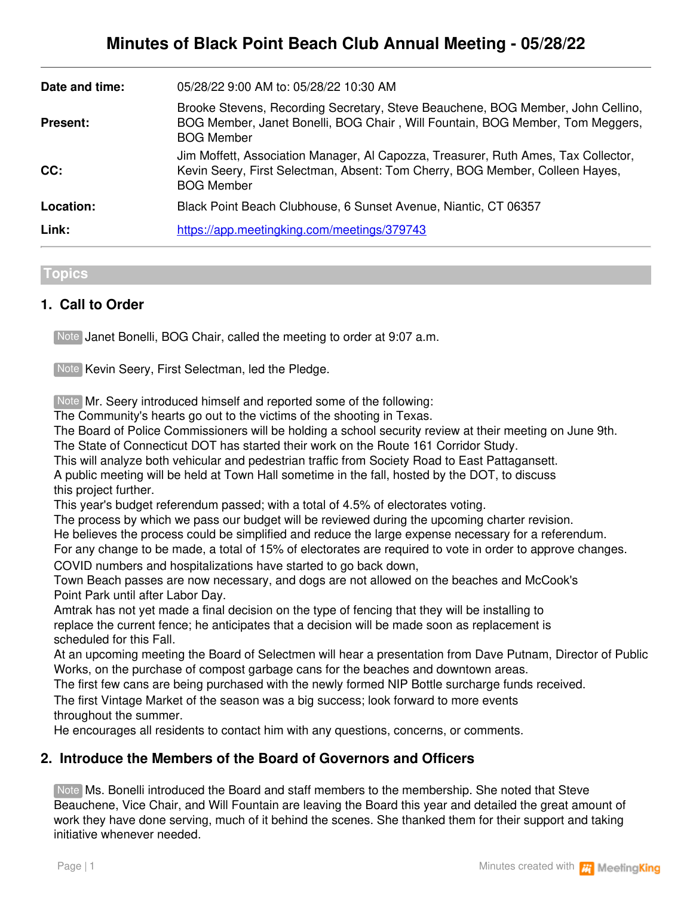| Date and time:  | 05/28/22 9:00 AM to: 05/28/22 10:30 AM                                                                                                                                                  |
|-----------------|-----------------------------------------------------------------------------------------------------------------------------------------------------------------------------------------|
| <b>Present:</b> | Brooke Stevens, Recording Secretary, Steve Beauchene, BOG Member, John Cellino,<br>BOG Member, Janet Bonelli, BOG Chair, Will Fountain, BOG Member, Tom Meggers,<br><b>BOG Member</b>   |
| CC:             | Jim Moffett, Association Manager, Al Capozza, Treasurer, Ruth Ames, Tax Collector,<br>Kevin Seery, First Selectman, Absent: Tom Cherry, BOG Member, Colleen Hayes,<br><b>BOG Member</b> |
| Location:       | Black Point Beach Clubhouse, 6 Sunset Avenue, Niantic, CT 06357                                                                                                                         |
| Link:           | https://app.meetingking.com/meetings/379743                                                                                                                                             |

#### **Topics**

## **1. Call to Order**

Note Janet Bonelli, BOG Chair, called the meeting to order at 9:07 a.m.

Note Kevin Seery, First Selectman, led the Pledge.

Note Mr. Seery introduced himself and reported some of the following:

The Community's hearts go out to the victims of the shooting in Texas.

The Board of Police Commissioners will be holding a school security review at their meeting on June 9th. The State of Connecticut DOT has started their work on the Route 161 Corridor Study.

This will analyze both vehicular and pedestrian traffic from Society Road to East Pattagansett.

A public meeting will be held at Town Hall sometime in the fall, hosted by the DOT, to discuss this project further.

This year's budget referendum passed; with a total of 4.5% of electorates voting.

The process by which we pass our budget will be reviewed during the upcoming charter revision.

He believes the process could be simplified and reduce the large expense necessary for a referendum.

For any change to be made, a total of 15% of electorates are required to vote in order to approve changes.

COVID numbers and hospitalizations have started to go back down,

Town Beach passes are now necessary, and dogs are not allowed on the beaches and McCook's Point Park until after Labor Day.

Amtrak has not yet made a final decision on the type of fencing that they will be installing to replace the current fence; he anticipates that a decision will be made soon as replacement is scheduled for this Fall.

At an upcoming meeting the Board of Selectmen will hear a presentation from Dave Putnam, Director of Public Works, on the purchase of compost garbage cans for the beaches and downtown areas.

The first few cans are being purchased with the newly formed NIP Bottle surcharge funds received.

The first Vintage Market of the season was a big success; look forward to more events throughout the summer.

He encourages all residents to contact him with any questions, concerns, or comments.

## **2. Introduce the Members of the Board of Governors and Officers**

Note Ms. Bonelli introduced the Board and staff members to the membership. She noted that Steve Beauchene, Vice Chair, and Will Fountain are leaving the Board this year and detailed the great amount of work they have done serving, much of it behind the scenes. She thanked them for their support and taking initiative whenever needed.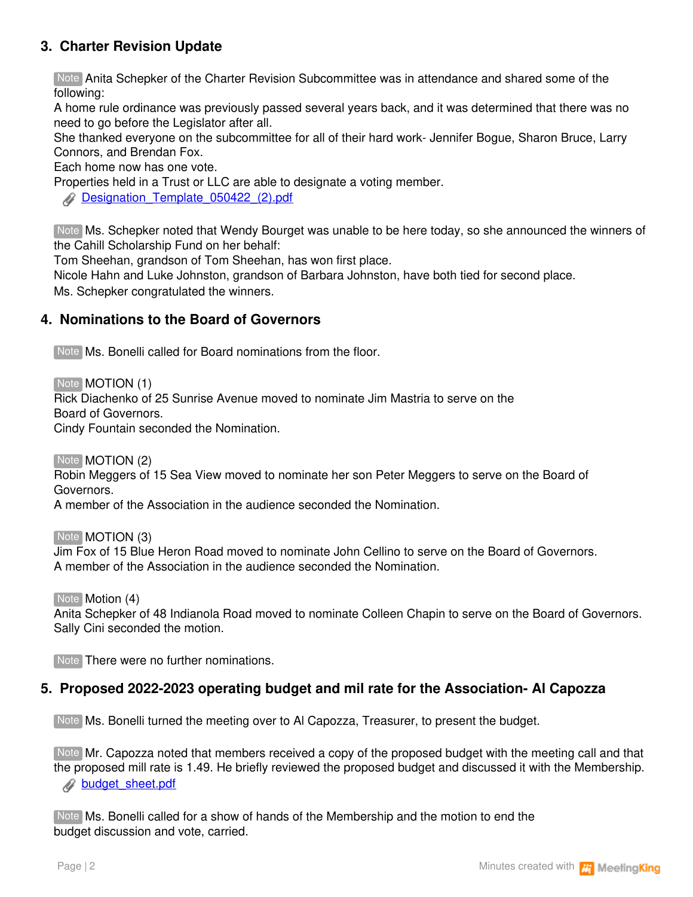# **3. Charter Revision Update**

Note Anita Schepker of the Charter Revision Subcommittee was in attendance and shared some of the following:

A home rule ordinance was previously passed several years back, and it was determined that there was no need to go before the Legislator after all.

She thanked everyone on the subcommittee for all of their hard work- Jennifer Bogue, Sharon Bruce, Larry Connors, and Brendan Fox.

Each home now has one vote.

Properties held in a Trust or LLC are able to designate a voting member.

**[Designation\\_Template\\_050422\\_\(2\).pdf](https://app.meetingking.com/uploads/attachments/255823-Designation_Template_050422_%282%29-9c6d64ba46008f61f16033591fbd1f2fc77d2018.pdf?1654824107)** 

Ms. Schepker noted that Wendy Bourget was unable to be here today, so she announced the winners of Note the Cahill Scholarship Fund on her behalf:

Tom Sheehan, grandson of Tom Sheehan, has won first place.

Nicole Hahn and Luke Johnston, grandson of Barbara Johnston, have both tied for second place.

Ms. Schepker congratulated the winners.

## **4. Nominations to the Board of Governors**

Note Ms. Bonelli called for Board nominations from the floor.

Note **MOTION** (1)

Rick Diachenko of 25 Sunrise Avenue moved to nominate Jim Mastria to serve on the Board of Governors.

Cindy Fountain seconded the Nomination.

Note **MOTION** (2)

Robin Meggers of 15 Sea View moved to nominate her son Peter Meggers to serve on the Board of Governors.

A member of the Association in the audience seconded the Nomination.

Note **MOTION** (3)

Jim Fox of 15 Blue Heron Road moved to nominate John Cellino to serve on the Board of Governors. A member of the Association in the audience seconded the Nomination.

Note **Motion (4)** 

Anita Schepker of 48 Indianola Road moved to nominate Colleen Chapin to serve on the Board of Governors. Sally Cini seconded the motion.

Note There were no further nominations.

### **5. Proposed 2022-2023 operating budget and mil rate for the Association- Al Capozza**

Note Ms. Bonelli turned the meeting over to Al Capozza, Treasurer, to present the budget.

Note Mr. Capozza noted that members received a copy of the proposed budget with the meeting call and that the proposed mill rate is 1.49. He briefly reviewed the proposed budget and discussed it with the Membership. **[budget\\_sheet.pdf](https://app.meetingking.com/uploads/attachments/255826-budget_sheet-8c684b12caf8481818d02e9468ba9665c5161ed0.pdf?1654826653)** 

Note Ms. Bonelli called for a show of hands of the Membership and the motion to end the budget discussion and vote, carried.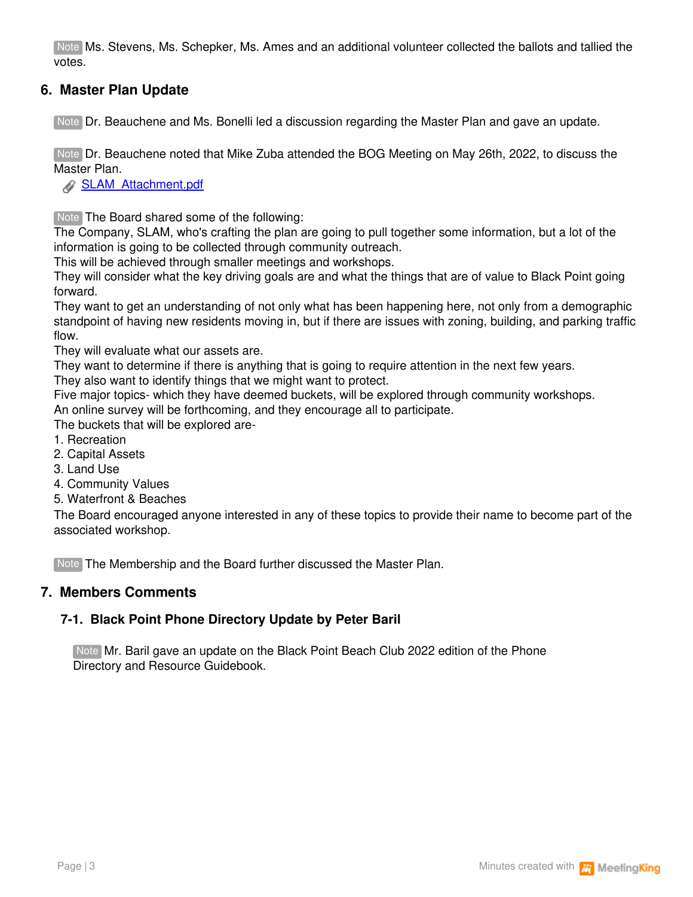Note Ms. Stevens, Ms. Schepker, Ms. Ames and an additional volunteer collected the ballots and tallied the votes.

# **6. Master Plan Update**

Note Dr. Beauchene and Ms. Bonelli led a discussion regarding the Master Plan and gave an update.

Note Dr. Beauchene noted that Mike Zuba attended the BOG Meeting on May 26th, 2022, to discuss the Master Plan.

**[SLAM\\_Attachment.pdf](https://app.meetingking.com/uploads/attachments/255829-SLAM_Attachment-4192376975c1016fcb64f2aed2ca99099a466bea.pdf?1654827297)** 

Note The Board shared some of the following:

The Company, SLAM, who's crafting the plan are going to pull together some information, but a lot of the information is going to be collected through community outreach.

This will be achieved through smaller meetings and workshops.

They will consider what the key driving goals are and what the things that are of value to Black Point going forward.

They want to get an understanding of not only what has been happening here, not only from a demographic standpoint of having new residents moving in, but if there are issues with zoning, building, and parking traffic flow.

They will evaluate what our assets are.

They want to determine if there is anything that is going to require attention in the next few years.

They also want to identify things that we might want to protect.

Five major topics- which they have deemed buckets, will be explored through community workshops.

An online survey will be forthcoming, and they encourage all to participate.

The buckets that will be explored are-

- 1. Recreation
- 2. Capital Assets
- 3. Land Use
- 4. Community Values
- 5. Waterfront & Beaches

The Board encouraged anyone interested in any of these topics to provide their name to become part of the associated workshop.

Note The Membership and the Board further discussed the Master Plan.

### **7. Members Comments**

## **7-1. Black Point Phone Directory Update by Peter Baril**

Note Mr. Baril gave an update on the Black Point Beach Club 2022 edition of the Phone Directory and Resource Guidebook.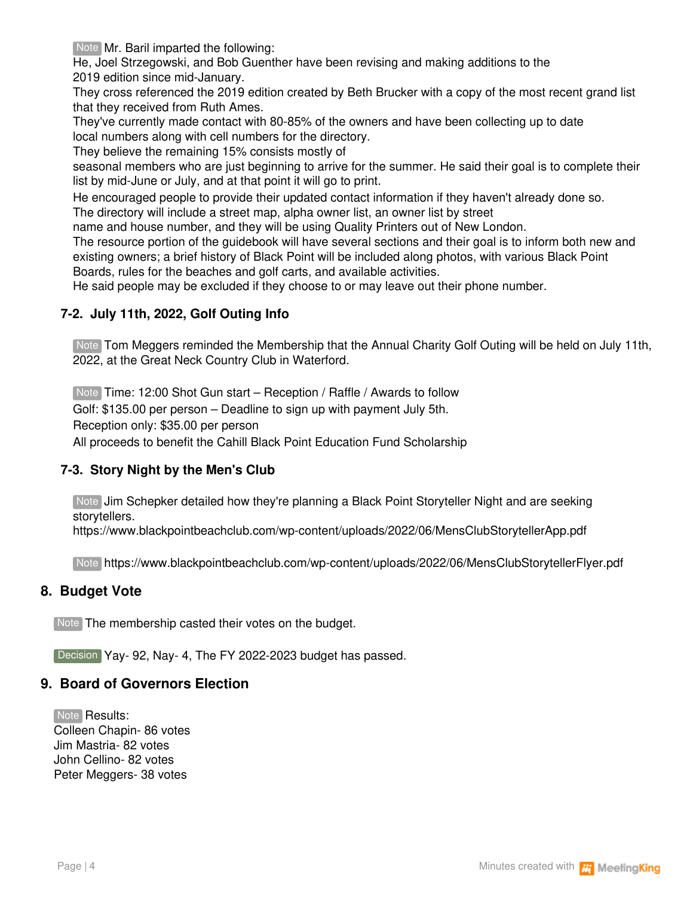Note Mr. Baril imparted the following:

He, Joel Strzegowski, and Bob Guenther have been revising and making additions to the 2019 edition since mid-January.

They cross referenced the 2019 edition created by Beth Brucker with a copy of the most recent grand list that they received from Ruth Ames.

They've currently made contact with 80-85% of the owners and have been collecting up to date local numbers along with cell numbers for the directory.

They believe the remaining 15% consists mostly of

seasonal members who are just beginning to arrive for the summer. He said their goal is to complete their list by mid-June or July, and at that point it will go to print.

He encouraged people to provide their updated contact information if they haven't already done so.

The directory will include a street map, alpha owner list, an owner list by street

name and house number, and they will be using Quality Printers out of New London.

The resource portion of the guidebook will have several sections and their goal is to inform both new and existing owners; a brief history of Black Point will be included along photos, with various Black Point Boards, rules for the beaches and golf carts, and available activities.

He said people may be excluded if they choose to or may leave out their phone number.

#### **7-2. July 11th, 2022, Golf Outing Info**

Note Tom Meggers reminded the Membership that the Annual Charity Golf Outing will be held on July 11th, 2022, at the Great Neck Country Club in Waterford.

Note Time: 12:00 Shot Gun start – Reception / Raffle / Awards to follow

Golf: \$135.00 per person – Deadline to sign up with payment July 5th.

Reception only: \$35.00 per person

All proceeds to benefit the Cahill Black Point Education Fund Scholarship

### **7-3. Story Night by the Men's Club**

Note **Jim Schepker detailed how they're planning a Black Point Storyteller Night and are seeking** storytellers.

https://www.blackpointbeachclub.com/wp-content/uploads/2022/06/MensClubStorytellerApp.pdf

Note https://www.blackpointbeachclub.com/wp-content/uploads/2022/06/MensClubStorytellerFlyer.pdf

#### **8. Budget Vote**

Note The membership casted their votes on the budget.

Decision Yay- 92, Nay- 4, The FY 2022-2023 budget has passed.

#### **9. Board of Governors Election**

Note **Results:** Colleen Chapin- 86 votes Jim Mastria- 82 votes John Cellino- 82 votes Peter Meggers- 38 votes